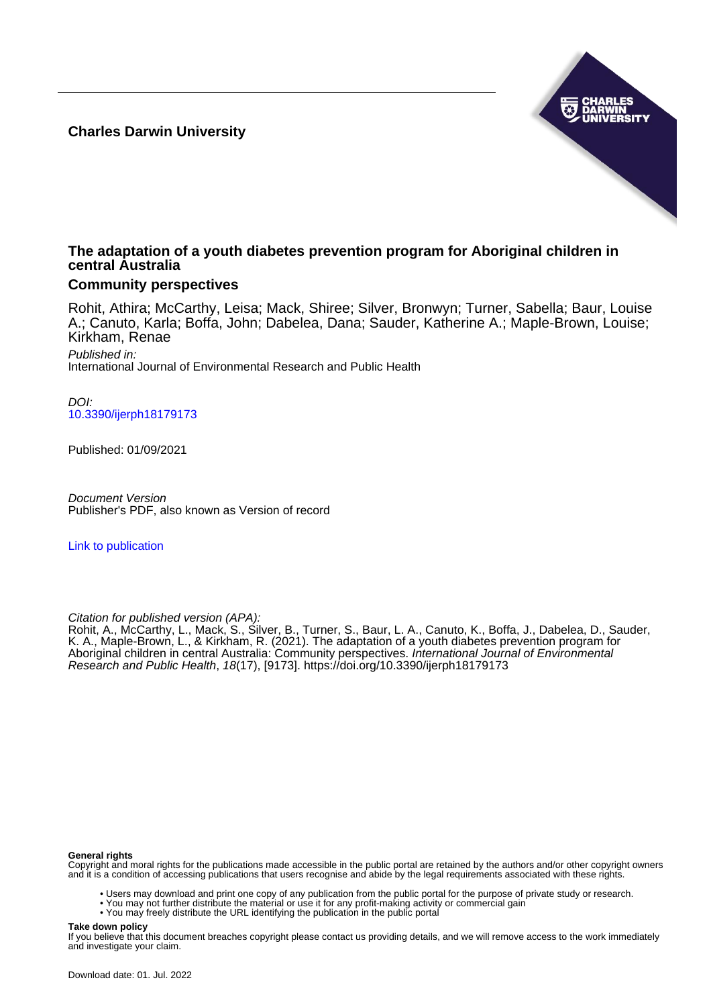**Charles Darwin University**



# **The adaptation of a youth diabetes prevention program for Aboriginal children in central Australia**

# **Community perspectives**

Rohit, Athira; McCarthy, Leisa; Mack, Shiree; Silver, Bronwyn; Turner, Sabella; Baur, Louise A.; Canuto, Karla; Boffa, John; Dabelea, Dana; Sauder, Katherine A.; Maple-Brown, Louise; Kirkham, Renae

Published in: International Journal of Environmental Research and Public Health

DOI: [10.3390/ijerph18179173](https://doi.org/10.3390/ijerph18179173)

Published: 01/09/2021

Document Version Publisher's PDF, also known as Version of record

[Link to publication](https://researchers.cdu.edu.au/en/publications/9db4f0da-1c46-4596-802e-8d0dfc566855)

Citation for published version (APA):

Rohit, A., McCarthy, L., Mack, S., Silver, B., Turner, S., Baur, L. A., Canuto, K., Boffa, J., Dabelea, D., Sauder, K. A., Maple-Brown, L., & Kirkham, R. (2021). The adaptation of a youth diabetes prevention program for Aboriginal children in central Australia: Community perspectives. International Journal of Environmental Research and Public Health, 18(17), [9173].<https://doi.org/10.3390/ijerph18179173>

#### **General rights**

Copyright and moral rights for the publications made accessible in the public portal are retained by the authors and/or other copyright owners and it is a condition of accessing publications that users recognise and abide by the legal requirements associated with these rights.

• Users may download and print one copy of any publication from the public portal for the purpose of private study or research.

- You may not further distribute the material or use it for any profit-making activity or commercial gain
	- You may freely distribute the URL identifying the publication in the public portal

#### **Take down policy**

If you believe that this document breaches copyright please contact us providing details, and we will remove access to the work immediately and investigate your claim.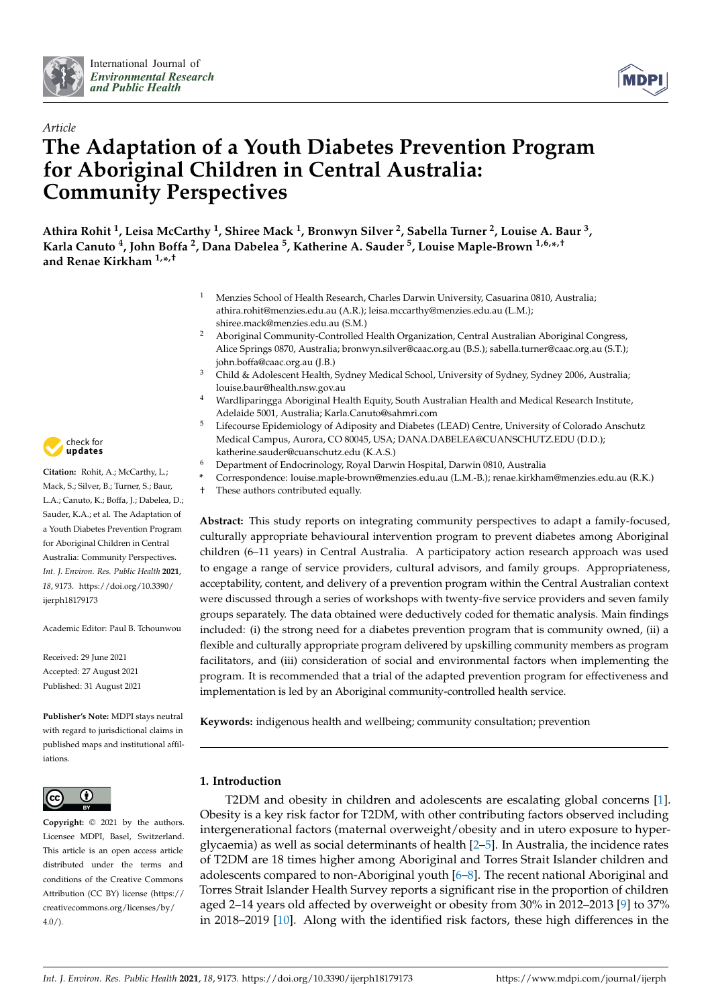



# *Article* **The Adaptation of a Youth Diabetes Prevention Program for Aboriginal Children in Central Australia: Community Perspectives**

**Athira Rohit <sup>1</sup> , Leisa McCarthy <sup>1</sup> , Shiree Mack <sup>1</sup> , Bronwyn Silver <sup>2</sup> , Sabella Turner <sup>2</sup> , Louise A. Baur <sup>3</sup> , Karla Canuto <sup>4</sup> , John Boffa <sup>2</sup> , Dana Dabelea <sup>5</sup> , Katherine A. Sauder <sup>5</sup> , Louise Maple-Brown 1,6,\* ,† and Renae Kirkham 1,\* ,†**

- <sup>1</sup> Menzies School of Health Research, Charles Darwin University, Casuarina 0810, Australia; athira.rohit@menzies.edu.au (A.R.); leisa.mccarthy@menzies.edu.au (L.M.); shiree.mack@menzies.edu.au (S.M.)
- <sup>2</sup> Aboriginal Community-Controlled Health Organization, Central Australian Aboriginal Congress, Alice Springs 0870, Australia; bronwyn.silver@caac.org.au (B.S.); sabella.turner@caac.org.au (S.T.); john.boffa@caac.org.au (J.B.)
- <sup>3</sup> Child & Adolescent Health, Sydney Medical School, University of Sydney, Sydney 2006, Australia; louise.baur@health.nsw.gov.au
- <sup>4</sup> Wardliparingga Aboriginal Health Equity, South Australian Health and Medical Research Institute, Adelaide 5001, Australia; Karla.Canuto@sahmri.com
- <sup>5</sup> Lifecourse Epidemiology of Adiposity and Diabetes (LEAD) Centre, University of Colorado Anschutz Medical Campus, Aurora, CO 80045, USA; DANA.DABELEA@CUANSCHUTZ.EDU (D.D.); katherine.sauder@cuanschutz.edu (K.A.S.)
- <sup>6</sup> Department of Endocrinology, Royal Darwin Hospital, Darwin 0810, Australia
- **\*** Correspondence: louise.maple-brown@menzies.edu.au (L.M.-B.); renae.kirkham@menzies.edu.au (R.K.)
- † These authors contributed equally.

**Abstract:** This study reports on integrating community perspectives to adapt a family-focused, culturally appropriate behavioural intervention program to prevent diabetes among Aboriginal children (6–11 years) in Central Australia. A participatory action research approach was used to engage a range of service providers, cultural advisors, and family groups. Appropriateness, acceptability, content, and delivery of a prevention program within the Central Australian context were discussed through a series of workshops with twenty-five service providers and seven family groups separately. The data obtained were deductively coded for thematic analysis. Main findings included: (i) the strong need for a diabetes prevention program that is community owned, (ii) a flexible and culturally appropriate program delivered by upskilling community members as program facilitators, and (iii) consideration of social and environmental factors when implementing the program. It is recommended that a trial of the adapted prevention program for effectiveness and implementation is led by an Aboriginal community-controlled health service.

**Keywords:** indigenous health and wellbeing; community consultation; prevention

# **1. Introduction**

T2DM and obesity in children and adolescents are escalating global concerns [\[1\]](#page-12-0). Obesity is a key risk factor for T2DM, with other contributing factors observed including intergenerational factors (maternal overweight/obesity and in utero exposure to hyperglycaemia) as well as social determinants of health [\[2–](#page-12-1)[5\]](#page-12-2). In Australia, the incidence rates of T2DM are 18 times higher among Aboriginal and Torres Strait Islander children and adolescents compared to non-Aboriginal youth [\[6](#page-12-3)[–8\]](#page-12-4). The recent national Aboriginal and Torres Strait Islander Health Survey reports a significant rise in the proportion of children aged 2–14 years old affected by overweight or obesity from 30% in 2012–2013 [\[9\]](#page-12-5) to 37% in 2018–2019 [\[10\]](#page-12-6). Along with the identified risk factors, these high differences in the



**Citation:** Rohit, A.; McCarthy, L.; Mack, S.; Silver, B.; Turner, S.; Baur, L.A.; Canuto, K.; Boffa, J.; Dabelea, D.; Sauder, K.A.; et al. The Adaptation of a Youth Diabetes Prevention Program for Aboriginal Children in Central Australia: Community Perspectives. *Int. J. Environ. Res. Public Health* **2021**, *18*, 9173. [https://doi.org/10.3390/](https://doi.org/10.3390/ijerph18179173) [ijerph18179173](https://doi.org/10.3390/ijerph18179173)

Academic Editor: Paul B. Tchounwou

Received: 29 June 2021 Accepted: 27 August 2021 Published: 31 August 2021

**Publisher's Note:** MDPI stays neutral with regard to jurisdictional claims in published maps and institutional affiliations.



**Copyright:** © 2021 by the authors. Licensee MDPI, Basel, Switzerland. This article is an open access article distributed under the terms and conditions of the Creative Commons Attribution (CC BY) license (https:/[/](https://creativecommons.org/licenses/by/4.0/) [creativecommons.org/licenses/by/](https://creativecommons.org/licenses/by/4.0/) 4.0/).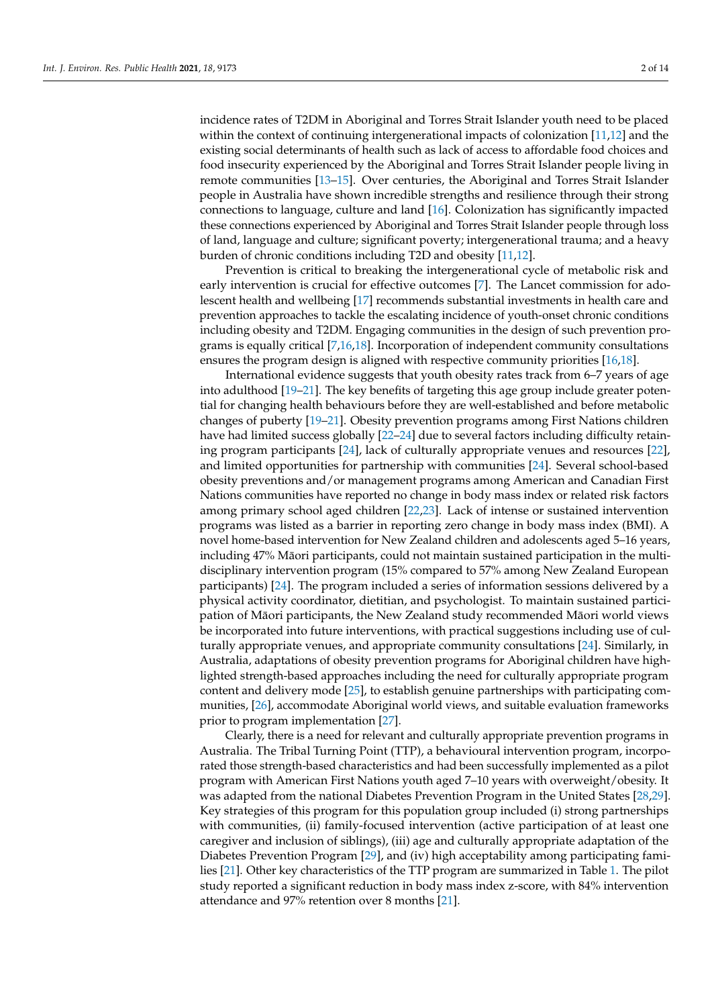incidence rates of T2DM in Aboriginal and Torres Strait Islander youth need to be placed within the context of continuing intergenerational impacts of colonization [\[11](#page-12-7)[,12\]](#page-12-8) and the existing social determinants of health such as lack of access to affordable food choices and food insecurity experienced by the Aboriginal and Torres Strait Islander people living in remote communities [\[13–](#page-12-9)[15\]](#page-12-10). Over centuries, the Aboriginal and Torres Strait Islander people in Australia have shown incredible strengths and resilience through their strong connections to language, culture and land [\[16\]](#page-12-11). Colonization has significantly impacted these connections experienced by Aboriginal and Torres Strait Islander people through loss of land, language and culture; significant poverty; intergenerational trauma; and a heavy burden of chronic conditions including T2D and obesity [\[11,](#page-12-7)[12\]](#page-12-8).

Prevention is critical to breaking the intergenerational cycle of metabolic risk and early intervention is crucial for effective outcomes [\[7\]](#page-12-12). The Lancet commission for adolescent health and wellbeing [\[17\]](#page-12-13) recommends substantial investments in health care and prevention approaches to tackle the escalating incidence of youth-onset chronic conditions including obesity and T2DM. Engaging communities in the design of such prevention programs is equally critical [\[7](#page-12-12)[,16](#page-12-11)[,18\]](#page-12-14). Incorporation of independent community consultations ensures the program design is aligned with respective community priorities [\[16,](#page-12-11)[18\]](#page-12-14).

International evidence suggests that youth obesity rates track from 6–7 years of age into adulthood [\[19](#page-12-15)[–21\]](#page-13-0). The key benefits of targeting this age group include greater potential for changing health behaviours before they are well-established and before metabolic changes of puberty [\[19–](#page-12-15)[21\]](#page-13-0). Obesity prevention programs among First Nations children have had limited success globally [\[22](#page-13-1)[–24\]](#page-13-2) due to several factors including difficulty retaining program participants [\[24\]](#page-13-2), lack of culturally appropriate venues and resources [\[22\]](#page-13-1), and limited opportunities for partnership with communities [\[24\]](#page-13-2). Several school-based obesity preventions and/or management programs among American and Canadian First Nations communities have reported no change in body mass index or related risk factors among primary school aged children [\[22,](#page-13-1)[23\]](#page-13-3). Lack of intense or sustained intervention programs was listed as a barrier in reporting zero change in body mass index (BMI). A novel home-based intervention for New Zealand children and adolescents aged 5–16 years, including 47% Māori participants, could not maintain sustained participation in the multidisciplinary intervention program (15% compared to 57% among New Zealand European participants) [\[24\]](#page-13-2). The program included a series of information sessions delivered by a physical activity coordinator, dietitian, and psychologist. To maintain sustained participation of Māori participants, the New Zealand study recommended Māori world views be incorporated into future interventions, with practical suggestions including use of culturally appropriate venues, and appropriate community consultations [\[24\]](#page-13-2). Similarly, in Australia, adaptations of obesity prevention programs for Aboriginal children have highlighted strength-based approaches including the need for culturally appropriate program content and delivery mode [\[25\]](#page-13-4), to establish genuine partnerships with participating communities, [\[26\]](#page-13-5), accommodate Aboriginal world views, and suitable evaluation frameworks prior to program implementation [\[27\]](#page-13-6).

Clearly, there is a need for relevant and culturally appropriate prevention programs in Australia. The Tribal Turning Point (TTP), a behavioural intervention program, incorporated those strength-based characteristics and had been successfully implemented as a pilot program with American First Nations youth aged 7–10 years with overweight/obesity. It was adapted from the national Diabetes Prevention Program in the United States [\[28,](#page-13-7)[29\]](#page-13-8). Key strategies of this program for this population group included (i) strong partnerships with communities, (ii) family-focused intervention (active participation of at least one caregiver and inclusion of siblings), (iii) age and culturally appropriate adaptation of the Diabetes Prevention Program [\[29\]](#page-13-8), and (iv) high acceptability among participating families [\[21\]](#page-13-0). Other key characteristics of the TTP program are summarized in Table [1.](#page-3-0) The pilot study reported a significant reduction in body mass index z-score, with 84% intervention attendance and 97% retention over 8 months [\[21\]](#page-13-0).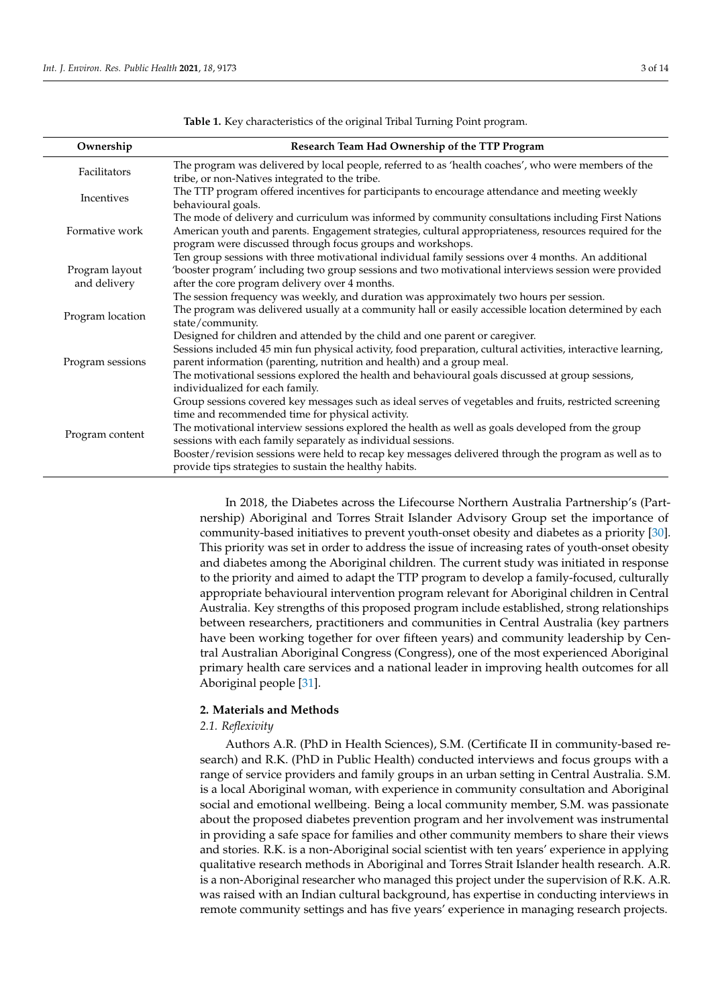<span id="page-3-0"></span>

| Ownership                      | Research Team Had Ownership of the TTP Program                                                                                                                                                                                                                                                                                                                                                                                                                                                      |
|--------------------------------|-----------------------------------------------------------------------------------------------------------------------------------------------------------------------------------------------------------------------------------------------------------------------------------------------------------------------------------------------------------------------------------------------------------------------------------------------------------------------------------------------------|
| Facilitators                   | The program was delivered by local people, referred to as 'health coaches', who were members of the<br>tribe, or non-Natives integrated to the tribe.                                                                                                                                                                                                                                                                                                                                               |
| Incentives                     | The TTP program offered incentives for participants to encourage attendance and meeting weekly<br>behavioural goals.                                                                                                                                                                                                                                                                                                                                                                                |
| Formative work                 | The mode of delivery and curriculum was informed by community consultations including First Nations<br>American youth and parents. Engagement strategies, cultural appropriateness, resources required for the<br>program were discussed through focus groups and workshops.                                                                                                                                                                                                                        |
| Program layout<br>and delivery | Ten group sessions with three motivational individual family sessions over 4 months. An additional<br>'booster program' including two group sessions and two motivational interviews session were provided<br>after the core program delivery over 4 months.                                                                                                                                                                                                                                        |
| Program location               | The session frequency was weekly, and duration was approximately two hours per session.<br>The program was delivered usually at a community hall or easily accessible location determined by each<br>state/community.                                                                                                                                                                                                                                                                               |
| Program sessions               | Designed for children and attended by the child and one parent or caregiver.<br>Sessions included 45 min fun physical activity, food preparation, cultural activities, interactive learning,<br>parent information (parenting, nutrition and health) and a group meal.<br>The motivational sessions explored the health and behavioural goals discussed at group sessions,<br>individualized for each family.                                                                                       |
| Program content                | Group sessions covered key messages such as ideal serves of vegetables and fruits, restricted screening<br>time and recommended time for physical activity.<br>The motivational interview sessions explored the health as well as goals developed from the group<br>sessions with each family separately as individual sessions.<br>Booster/revision sessions were held to recap key messages delivered through the program as well as to<br>provide tips strategies to sustain the healthy habits. |

**Table 1.** Key characteristics of the original Tribal Turning Point program.

In 2018, the Diabetes across the Lifecourse Northern Australia Partnership's (Partnership) Aboriginal and Torres Strait Islander Advisory Group set the importance of community-based initiatives to prevent youth-onset obesity and diabetes as a priority [\[30\]](#page-13-9). This priority was set in order to address the issue of increasing rates of youth-onset obesity and diabetes among the Aboriginal children. The current study was initiated in response to the priority and aimed to adapt the TTP program to develop a family-focused, culturally appropriate behavioural intervention program relevant for Aboriginal children in Central Australia. Key strengths of this proposed program include established, strong relationships between researchers, practitioners and communities in Central Australia (key partners have been working together for over fifteen years) and community leadership by Central Australian Aboriginal Congress (Congress), one of the most experienced Aboriginal primary health care services and a national leader in improving health outcomes for all Aboriginal people [\[31\]](#page-13-10).

#### **2. Materials and Methods**

#### *2.1. Reflexivity*

Authors A.R. (PhD in Health Sciences), S.M. (Certificate II in community-based research) and R.K. (PhD in Public Health) conducted interviews and focus groups with a range of service providers and family groups in an urban setting in Central Australia. S.M. is a local Aboriginal woman, with experience in community consultation and Aboriginal social and emotional wellbeing. Being a local community member, S.M. was passionate about the proposed diabetes prevention program and her involvement was instrumental in providing a safe space for families and other community members to share their views and stories. R.K. is a non-Aboriginal social scientist with ten years' experience in applying qualitative research methods in Aboriginal and Torres Strait Islander health research. A.R. is a non-Aboriginal researcher who managed this project under the supervision of R.K. A.R. was raised with an Indian cultural background, has expertise in conducting interviews in remote community settings and has five years' experience in managing research projects.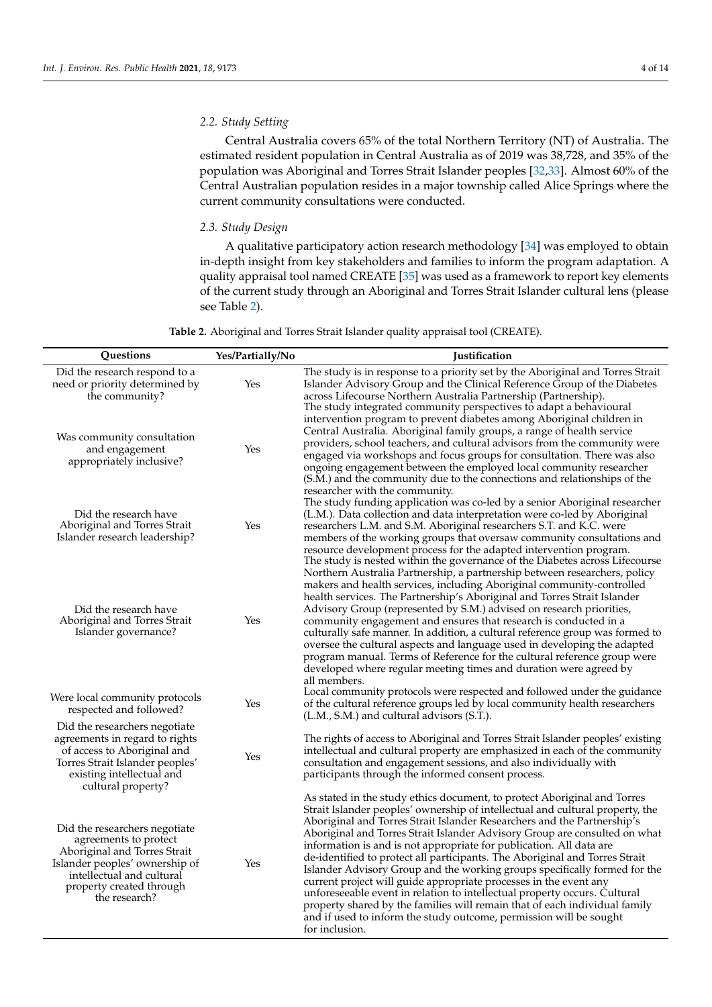# *2.2. Study Setting*

Central Australia covers 65% of the total Northern Territory (NT) of Australia. The estimated resident population in Central Australia as of 2019 was 38,728, and 35% of the population was Aboriginal and Torres Strait Islander peoples [\[32](#page-13-11)[,33\]](#page-13-12). Almost 60% of the Central Australian population resides in a major township called Alice Springs where the current community consultations were conducted.

## *2.3. Study Design*

A qualitative participatory action research methodology [\[34\]](#page-13-13) was employed to obtain in-depth insight from key stakeholders and families to inform the program adaptation. A quality appraisal tool named CREATE [\[35\]](#page-13-14) was used as a framework to report key elements of the current study through an Aboriginal and Torres Strait Islander cultural lens (please see Table [2\)](#page-4-0).

| Table 2. Aboriginal and Torres Strait Islander quality appraisal tool (CREATE). |  |  |
|---------------------------------------------------------------------------------|--|--|
|                                                                                 |  |  |

<span id="page-4-0"></span>

| Questions                                                                                                                                                                                          | Yes/Partially/No | <b>Justification</b>                                                                                                                                                                                                                                                                                                                                                                                                                                                                                                                                                                                                                                                                                                                                                                                                                                                           |
|----------------------------------------------------------------------------------------------------------------------------------------------------------------------------------------------------|------------------|--------------------------------------------------------------------------------------------------------------------------------------------------------------------------------------------------------------------------------------------------------------------------------------------------------------------------------------------------------------------------------------------------------------------------------------------------------------------------------------------------------------------------------------------------------------------------------------------------------------------------------------------------------------------------------------------------------------------------------------------------------------------------------------------------------------------------------------------------------------------------------|
| Did the research respond to a<br>need or priority determined by<br>the community?                                                                                                                  | Yes              | The study is in response to a priority set by the Aboriginal and Torres Strait<br>Islander Advisory Group and the Clinical Reference Group of the Diabetes<br>across Lifecourse Northern Australia Partnership (Partnership).<br>The study integrated community perspectives to adapt a behavioural                                                                                                                                                                                                                                                                                                                                                                                                                                                                                                                                                                            |
| Was community consultation<br>and engagement<br>appropriately inclusive?                                                                                                                           | Yes              | intervention program to prevent diabetes among Aboriginal children in<br>Central Australia. Aboriginal family groups, a range of health service<br>providers, school teachers, and cultural advisors from the community were<br>engaged via workshops and focus groups for consultation. There was also<br>ongoing engagement between the employed local community researcher<br>(S.M.) and the community due to the connections and relationships of the<br>researcher with the community.                                                                                                                                                                                                                                                                                                                                                                                    |
| Did the research have<br>Aboriginal and Torres Strait<br>Islander research leadership?                                                                                                             | Yes              | The study funding application was co-led by a senior Aboriginal researcher<br>(L.M.). Data collection and data interpretation were co-led by Aboriginal<br>researchers L.M. and S.M. Aboriginal researchers S.T. and K.C. were<br>members of the working groups that oversaw community consultations and<br>resource development process for the adapted intervention program.<br>The study is nested within the governance of the Diabetes across Lifecourse<br>Northern Australia Partnership, a partnership between researchers, policy                                                                                                                                                                                                                                                                                                                                     |
| Did the research have<br>Aboriginal and Torres Strait<br>Islander governance?                                                                                                                      | Yes              | makers and health services, including Aboriginal community-controlled<br>health services. The Partnership's Aboriginal and Torres Strait Islander<br>Advisory Group (represented by S.M.) advised on research priorities,<br>community engagement and ensures that research is conducted in a<br>culturally safe manner. In addition, a cultural reference group was formed to<br>oversee the cultural aspects and language used in developing the adapted<br>program manual. Terms of Reference for the cultural reference group were<br>developed where regular meeting times and duration were agreed by<br>all members.                                                                                                                                                                                                                                                    |
| Were local community protocols<br>respected and followed?                                                                                                                                          | Yes              | Local community protocols were respected and followed under the guidance<br>of the cultural reference groups led by local community health researchers<br>(L.M., S.M.) and cultural advisors (S.T.).                                                                                                                                                                                                                                                                                                                                                                                                                                                                                                                                                                                                                                                                           |
| Did the researchers negotiate<br>agreements in regard to rights<br>of access to Aboriginal and<br>Torres Strait Islander peoples'<br>existing intellectual and<br>cultural property?               | Yes              | The rights of access to Aboriginal and Torres Strait Islander peoples' existing<br>intellectual and cultural property are emphasized in each of the community<br>consultation and engagement sessions, and also individually with<br>participants through the informed consent process.                                                                                                                                                                                                                                                                                                                                                                                                                                                                                                                                                                                        |
| Did the researchers negotiate<br>agreements to protect<br>Aboriginal and Torres Strait<br>Islander peoples' ownership of<br>intellectual and cultural<br>property created through<br>the research? | Yes              | As stated in the study ethics document, to protect Aboriginal and Torres<br>Strait Islander peoples' ownership of intellectual and cultural property, the<br>Aboriginal and Torres Strait Islander Researchers and the Partnership's<br>Aboriginal and Torres Strait Islander Advisory Group are consulted on what<br>information is and is not appropriate for publication. All data are<br>de-identified to protect all participants. The Aboriginal and Torres Strait<br>Islander Advisory Group and the working groups specifically formed for the<br>current project will guide appropriate processes in the event any<br>unforeseeable event in relation to intellectual property occurs. Cultural<br>property shared by the families will remain that of each individual family<br>and if used to inform the study outcome, permission will be sought<br>for inclusion. |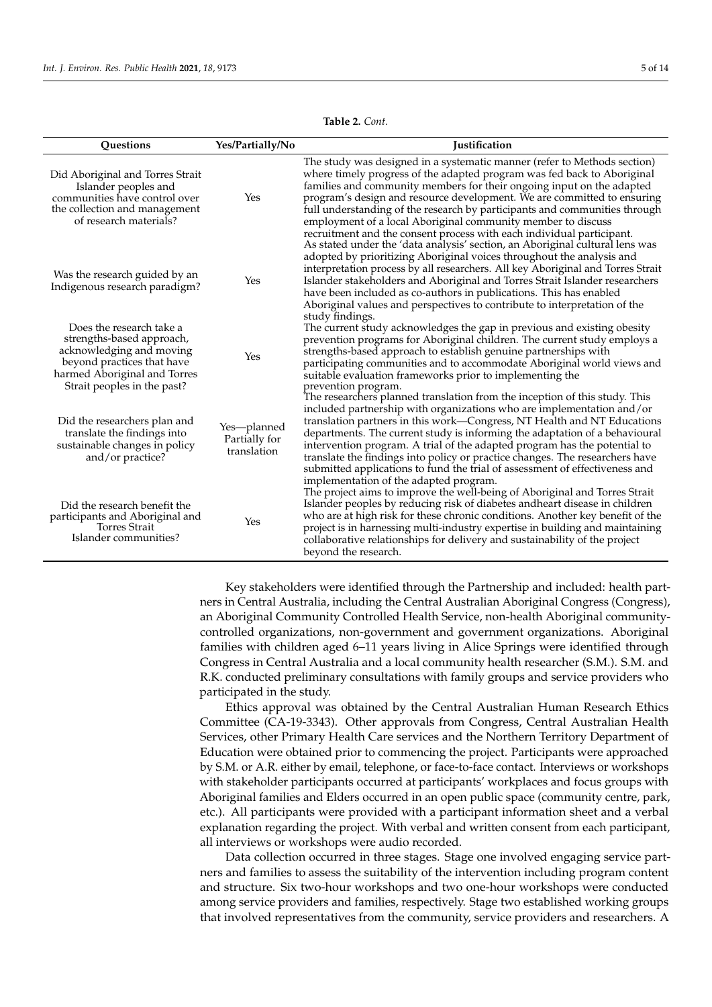| Questions                                                                                                                                                                      | Yes/Partially/No                            | <b>Iustification</b>                                                                                                                                                                                                                                                                                                                                                                                                                                                                                                                                                                                |
|--------------------------------------------------------------------------------------------------------------------------------------------------------------------------------|---------------------------------------------|-----------------------------------------------------------------------------------------------------------------------------------------------------------------------------------------------------------------------------------------------------------------------------------------------------------------------------------------------------------------------------------------------------------------------------------------------------------------------------------------------------------------------------------------------------------------------------------------------------|
| Did Aboriginal and Torres Strait<br>Islander peoples and<br>communities have control over<br>the collection and management<br>of research materials?                           | Yes                                         | The study was designed in a systematic manner (refer to Methods section)<br>where timely progress of the adapted program was fed back to Aboriginal<br>families and community members for their ongoing input on the adapted<br>program's design and resource development. We are committed to ensuring<br>full understanding of the research by participants and communities through<br>employment of a local Aboriginal community member to discuss<br>recruitment and the consent process with each individual participant.                                                                      |
| Was the research guided by an<br>Indigenous research paradigm?                                                                                                                 | Yes                                         | As stated under the 'data analysis' section, an Aboriginal cultural lens was<br>adopted by prioritizing Aboriginal voices throughout the analysis and<br>interpretation process by all researchers. All key Aboriginal and Torres Strait<br>Islander stakeholders and Aboriginal and Torres Strait Islander researchers<br>have been included as co-authors in publications. This has enabled<br>Aboriginal values and perspectives to contribute to interpretation of the<br>study findings.                                                                                                       |
| Does the research take a<br>strengths-based approach,<br>acknowledging and moving<br>beyond practices that have<br>harmed Aboriginal and Torres<br>Strait peoples in the past? | Yes                                         | The current study acknowledges the gap in previous and existing obesity<br>prevention programs for Aboriginal children. The current study employs a<br>strengths-based approach to establish genuine partnerships with<br>participating communities and to accommodate Aboriginal world views and<br>suitable evaluation frameworks prior to implementing the<br>prevention program.                                                                                                                                                                                                                |
| Did the researchers plan and<br>translate the findings into<br>sustainable changes in policy<br>and/or practice?                                                               | Yes-planned<br>Partially for<br>translation | The researchers planned translation from the inception of this study. This<br>included partnership with organizations who are implementation and/or<br>translation partners in this work-Congress, NT Health and NT Educations<br>departments. The current study is informing the adaptation of a behavioural<br>intervention program. A trial of the adapted program has the potential to<br>translate the findings into policy or practice changes. The researchers have<br>submitted applications to fund the trial of assessment of effectiveness and<br>implementation of the adapted program. |
| Did the research benefit the<br>participants and Aboriginal and<br><b>Torres Strait</b><br>Islander communities?                                                               | Yes                                         | The project aims to improve the well-being of Aboriginal and Torres Strait<br>Islander peoples by reducing risk of diabetes andheart disease in children<br>who are at high risk for these chronic conditions. Another key benefit of the<br>project is in harnessing multi-industry expertise in building and maintaining<br>collaborative relationships for delivery and sustainability of the project<br>beyond the research.                                                                                                                                                                    |

**Table 2.** *Cont.*

Key stakeholders were identified through the Partnership and included: health partners in Central Australia, including the Central Australian Aboriginal Congress (Congress), an Aboriginal Community Controlled Health Service, non-health Aboriginal communitycontrolled organizations, non-government and government organizations. Aboriginal families with children aged 6–11 years living in Alice Springs were identified through Congress in Central Australia and a local community health researcher (S.M.). S.M. and R.K. conducted preliminary consultations with family groups and service providers who participated in the study.

Ethics approval was obtained by the Central Australian Human Research Ethics Committee (CA-19-3343). Other approvals from Congress, Central Australian Health Services, other Primary Health Care services and the Northern Territory Department of Education were obtained prior to commencing the project. Participants were approached by S.M. or A.R. either by email, telephone, or face-to-face contact. Interviews or workshops with stakeholder participants occurred at participants' workplaces and focus groups with Aboriginal families and Elders occurred in an open public space (community centre, park, etc.). All participants were provided with a participant information sheet and a verbal explanation regarding the project. With verbal and written consent from each participant, all interviews or workshops were audio recorded.

Data collection occurred in three stages. Stage one involved engaging service partners and families to assess the suitability of the intervention including program content and structure. Six two-hour workshops and two one-hour workshops were conducted among service providers and families, respectively. Stage two established working groups that involved representatives from the community, service providers and researchers. A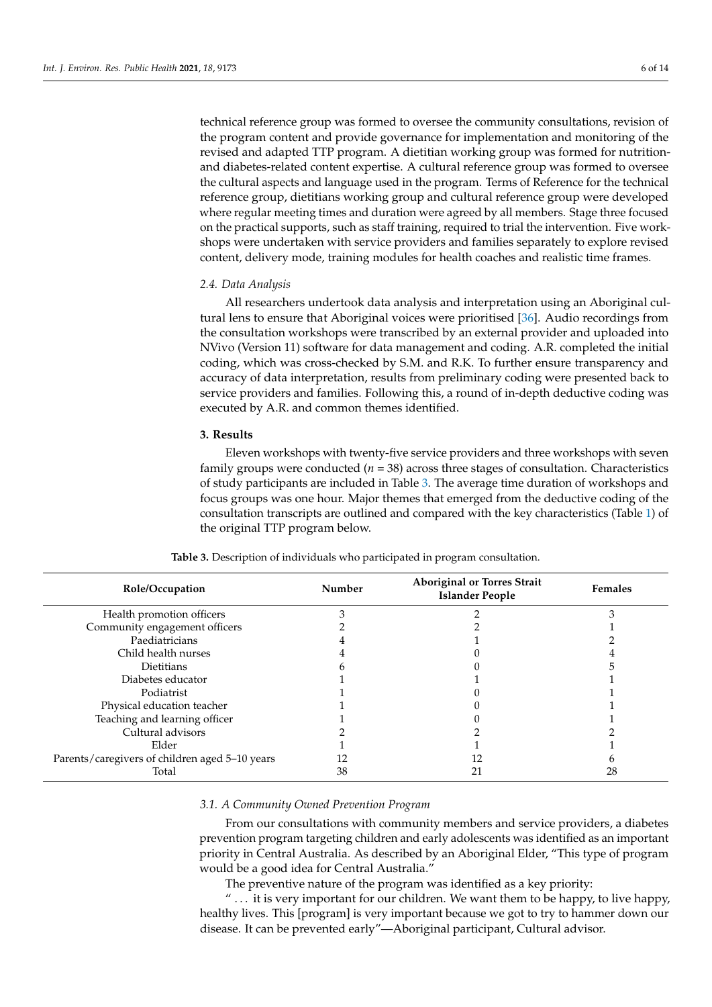technical reference group was formed to oversee the community consultations, revision of the program content and provide governance for implementation and monitoring of the revised and adapted TTP program. A dietitian working group was formed for nutritionand diabetes-related content expertise. A cultural reference group was formed to oversee the cultural aspects and language used in the program. Terms of Reference for the technical reference group, dietitians working group and cultural reference group were developed where regular meeting times and duration were agreed by all members. Stage three focused on the practical supports, such as staff training, required to trial the intervention. Five workshops were undertaken with service providers and families separately to explore revised content, delivery mode, training modules for health coaches and realistic time frames.

#### *2.4. Data Analysis*

All researchers undertook data analysis and interpretation using an Aboriginal cultural lens to ensure that Aboriginal voices were prioritised [\[36\]](#page-13-15). Audio recordings from the consultation workshops were transcribed by an external provider and uploaded into NVivo (Version 11) software for data management and coding. A.R. completed the initial coding, which was cross-checked by S.M. and R.K. To further ensure transparency and accuracy of data interpretation, results from preliminary coding were presented back to service providers and families. Following this, a round of in-depth deductive coding was executed by A.R. and common themes identified.

#### **3. Results**

Eleven workshops with twenty-five service providers and three workshops with seven family groups were conducted (*n* = 38) across three stages of consultation. Characteristics of study participants are included in Table [3.](#page-6-0) The average time duration of workshops and focus groups was one hour. Major themes that emerged from the deductive coding of the consultation transcripts are outlined and compared with the key characteristics (Table [1\)](#page-3-0) of the original TTP program below.

<span id="page-6-0"></span>

| Role/Occupation                                | Number | <b>Aboriginal or Torres Strait</b><br><b>Islander People</b> | <b>Females</b> |
|------------------------------------------------|--------|--------------------------------------------------------------|----------------|
| Health promotion officers                      |        |                                                              |                |
| Community engagement officers                  |        |                                                              |                |
| Paediatricians                                 |        |                                                              |                |
| Child health nurses                            |        |                                                              |                |
| Dietitians                                     |        |                                                              |                |
| Diabetes educator                              |        |                                                              |                |
| Podiatrist                                     |        |                                                              |                |
| Physical education teacher                     |        |                                                              |                |
| Teaching and learning officer                  |        |                                                              |                |
| Cultural advisors                              |        |                                                              |                |
| Elder                                          |        |                                                              |                |
| Parents/caregivers of children aged 5-10 years |        |                                                              |                |
| Total                                          | 38     |                                                              | 28             |

**Table 3.** Description of individuals who participated in program consultation.

# *3.1. A Community Owned Prevention Program*

From our consultations with community members and service providers, a diabetes prevention program targeting children and early adolescents was identified as an important priority in Central Australia. As described by an Aboriginal Elder, "This type of program would be a good idea for Central Australia."

The preventive nature of the program was identified as a key priority:

 $\ldots$  it is very important for our children. We want them to be happy, to live happy, healthy lives. This [program] is very important because we got to try to hammer down our disease. It can be prevented early"—Aboriginal participant, Cultural advisor.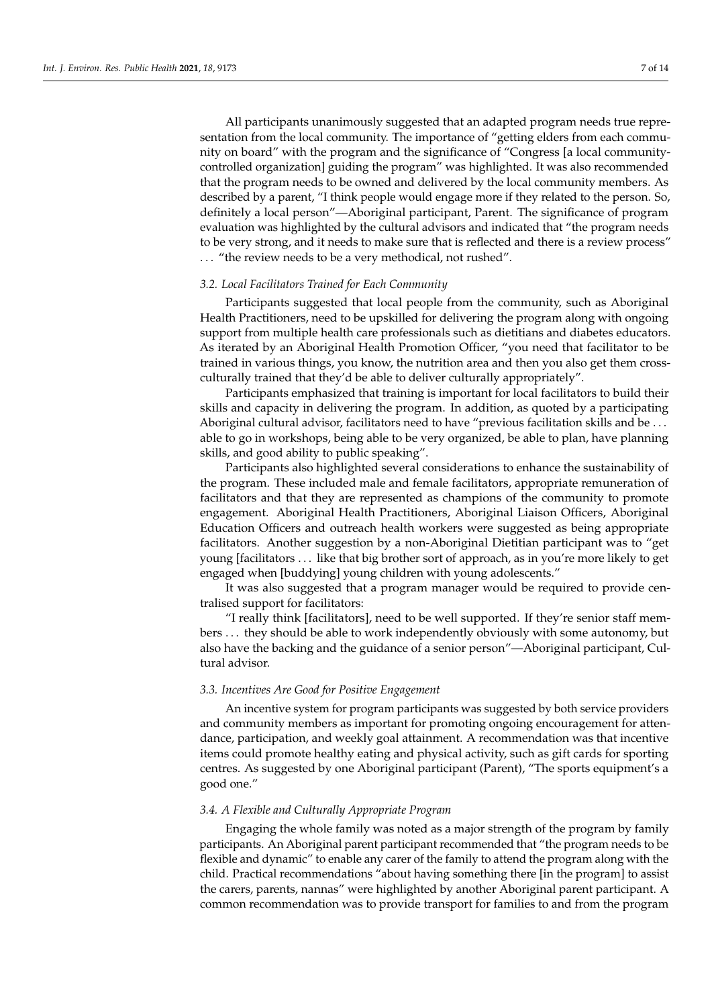All participants unanimously suggested that an adapted program needs true representation from the local community. The importance of "getting elders from each community on board" with the program and the significance of "Congress [a local communitycontrolled organization] guiding the program" was highlighted. It was also recommended that the program needs to be owned and delivered by the local community members. As described by a parent, "I think people would engage more if they related to the person. So, definitely a local person"—Aboriginal participant, Parent. The significance of program evaluation was highlighted by the cultural advisors and indicated that "the program needs to be very strong, and it needs to make sure that is reflected and there is a review process" . . . "the review needs to be a very methodical, not rushed".

#### *3.2. Local Facilitators Trained for Each Community*

Participants suggested that local people from the community, such as Aboriginal Health Practitioners, need to be upskilled for delivering the program along with ongoing support from multiple health care professionals such as dietitians and diabetes educators. As iterated by an Aboriginal Health Promotion Officer, "you need that facilitator to be trained in various things, you know, the nutrition area and then you also get them crossculturally trained that they'd be able to deliver culturally appropriately".

Participants emphasized that training is important for local facilitators to build their skills and capacity in delivering the program. In addition, as quoted by a participating Aboriginal cultural advisor, facilitators need to have "previous facilitation skills and be ... able to go in workshops, being able to be very organized, be able to plan, have planning skills, and good ability to public speaking".

Participants also highlighted several considerations to enhance the sustainability of the program. These included male and female facilitators, appropriate remuneration of facilitators and that they are represented as champions of the community to promote engagement. Aboriginal Health Practitioners, Aboriginal Liaison Officers, Aboriginal Education Officers and outreach health workers were suggested as being appropriate facilitators. Another suggestion by a non-Aboriginal Dietitian participant was to "get young [facilitators . . . like that big brother sort of approach, as in you're more likely to get engaged when [buddying] young children with young adolescents."

It was also suggested that a program manager would be required to provide centralised support for facilitators:

"I really think [facilitators], need to be well supported. If they're senior staff members . . . they should be able to work independently obviously with some autonomy, but also have the backing and the guidance of a senior person"—Aboriginal participant, Cultural advisor.

#### *3.3. Incentives Are Good for Positive Engagement*

An incentive system for program participants was suggested by both service providers and community members as important for promoting ongoing encouragement for attendance, participation, and weekly goal attainment. A recommendation was that incentive items could promote healthy eating and physical activity, such as gift cards for sporting centres. As suggested by one Aboriginal participant (Parent), "The sports equipment's a good one."

#### *3.4. A Flexible and Culturally Appropriate Program*

Engaging the whole family was noted as a major strength of the program by family participants. An Aboriginal parent participant recommended that "the program needs to be flexible and dynamic" to enable any carer of the family to attend the program along with the child. Practical recommendations "about having something there [in the program] to assist the carers, parents, nannas" were highlighted by another Aboriginal parent participant. A common recommendation was to provide transport for families to and from the program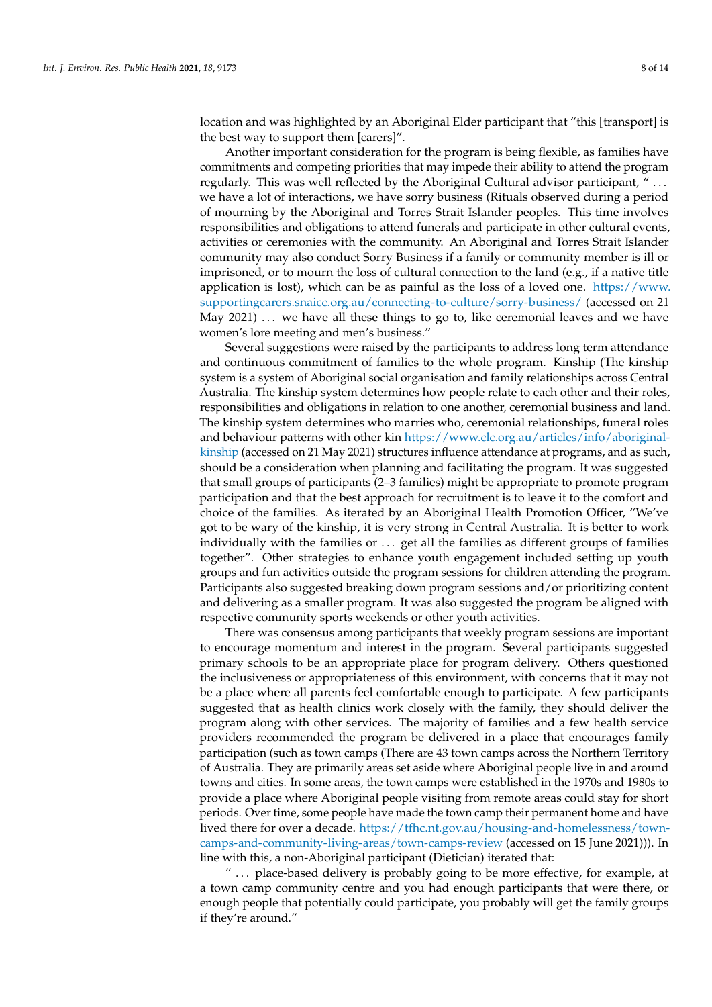location and was highlighted by an Aboriginal Elder participant that "this [transport] is the best way to support them [carers]".

Another important consideration for the program is being flexible, as families have commitments and competing priorities that may impede their ability to attend the program regularly. This was well reflected by the Aboriginal Cultural advisor participant, " . . . we have a lot of interactions, we have sorry business (Rituals observed during a period of mourning by the Aboriginal and Torres Strait Islander peoples. This time involves responsibilities and obligations to attend funerals and participate in other cultural events, activities or ceremonies with the community. An Aboriginal and Torres Strait Islander community may also conduct Sorry Business if a family or community member is ill or imprisoned, or to mourn the loss of cultural connection to the land (e.g., if a native title application is lost), which can be as painful as the loss of a loved one. [https://www.](https://www.supportingcarers.snaicc.org.au/connecting-to-culture/sorry-business/) [supportingcarers.snaicc.org.au/connecting-to-culture/sorry-business/](https://www.supportingcarers.snaicc.org.au/connecting-to-culture/sorry-business/) (accessed on 21 May  $2021) \ldots$  we have all these things to go to, like ceremonial leaves and we have women's lore meeting and men's business."

Several suggestions were raised by the participants to address long term attendance and continuous commitment of families to the whole program. Kinship (The kinship system is a system of Aboriginal social organisation and family relationships across Central Australia. The kinship system determines how people relate to each other and their roles, responsibilities and obligations in relation to one another, ceremonial business and land. The kinship system determines who marries who, ceremonial relationships, funeral roles and behaviour patterns with other kin [https://www.clc.org.au/articles/info/aboriginal](https://www.clc.org.au/articles/info/aboriginal-kinship)[kinship](https://www.clc.org.au/articles/info/aboriginal-kinship) (accessed on 21 May 2021) structures influence attendance at programs, and as such, should be a consideration when planning and facilitating the program. It was suggested that small groups of participants (2–3 families) might be appropriate to promote program participation and that the best approach for recruitment is to leave it to the comfort and choice of the families. As iterated by an Aboriginal Health Promotion Officer, "We've got to be wary of the kinship, it is very strong in Central Australia. It is better to work individually with the families or . . . get all the families as different groups of families together". Other strategies to enhance youth engagement included setting up youth groups and fun activities outside the program sessions for children attending the program. Participants also suggested breaking down program sessions and/or prioritizing content and delivering as a smaller program. It was also suggested the program be aligned with respective community sports weekends or other youth activities.

There was consensus among participants that weekly program sessions are important to encourage momentum and interest in the program. Several participants suggested primary schools to be an appropriate place for program delivery. Others questioned the inclusiveness or appropriateness of this environment, with concerns that it may not be a place where all parents feel comfortable enough to participate. A few participants suggested that as health clinics work closely with the family, they should deliver the program along with other services. The majority of families and a few health service providers recommended the program be delivered in a place that encourages family participation (such as town camps (There are 43 town camps across the Northern Territory of Australia. They are primarily areas set aside where Aboriginal people live in and around towns and cities. In some areas, the town camps were established in the 1970s and 1980s to provide a place where Aboriginal people visiting from remote areas could stay for short periods. Over time, some people have made the town camp their permanent home and have lived there for over a decade. [https://tfhc.nt.gov.au/housing-and-homelessness/town](https://tfhc.nt.gov.au/housing-and-homelessness/town-camps-and-community-living-areas/town-camps-review)[camps-and-community-living-areas/town-camps-review](https://tfhc.nt.gov.au/housing-and-homelessness/town-camps-and-community-living-areas/town-camps-review) (accessed on 15 June 2021))). In line with this, a non-Aboriginal participant (Dietician) iterated that:

" ... place-based delivery is probably going to be more effective, for example, at a town camp community centre and you had enough participants that were there, or enough people that potentially could participate, you probably will get the family groups if they're around."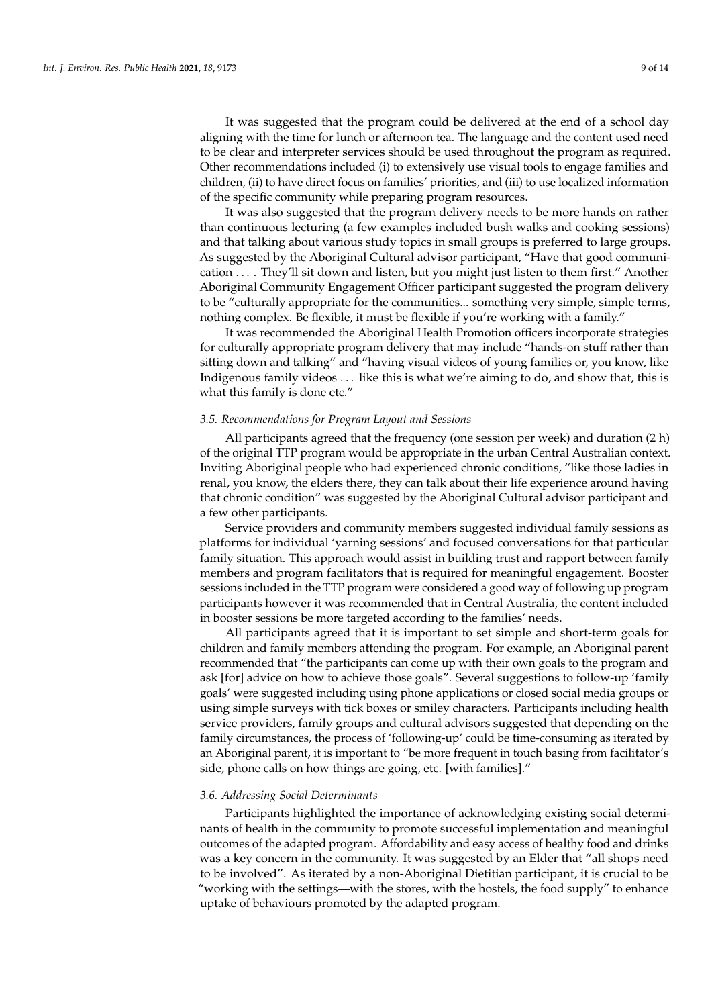It was suggested that the program could be delivered at the end of a school day aligning with the time for lunch or afternoon tea. The language and the content used need to be clear and interpreter services should be used throughout the program as required. Other recommendations included (i) to extensively use visual tools to engage families and children, (ii) to have direct focus on families' priorities, and (iii) to use localized information of the specific community while preparing program resources.

It was also suggested that the program delivery needs to be more hands on rather than continuous lecturing (a few examples included bush walks and cooking sessions) and that talking about various study topics in small groups is preferred to large groups. As suggested by the Aboriginal Cultural advisor participant, "Have that good communication . . . . They'll sit down and listen, but you might just listen to them first." Another Aboriginal Community Engagement Officer participant suggested the program delivery to be "culturally appropriate for the communities... something very simple, simple terms, nothing complex. Be flexible, it must be flexible if you're working with a family."

It was recommended the Aboriginal Health Promotion officers incorporate strategies for culturally appropriate program delivery that may include "hands-on stuff rather than sitting down and talking" and "having visual videos of young families or, you know, like Indigenous family videos . . . like this is what we're aiming to do, and show that, this is what this family is done etc."

#### *3.5. Recommendations for Program Layout and Sessions*

All participants agreed that the frequency (one session per week) and duration (2 h) of the original TTP program would be appropriate in the urban Central Australian context. Inviting Aboriginal people who had experienced chronic conditions, "like those ladies in renal, you know, the elders there, they can talk about their life experience around having that chronic condition" was suggested by the Aboriginal Cultural advisor participant and a few other participants.

Service providers and community members suggested individual family sessions as platforms for individual 'yarning sessions' and focused conversations for that particular family situation. This approach would assist in building trust and rapport between family members and program facilitators that is required for meaningful engagement. Booster sessions included in the TTP program were considered a good way of following up program participants however it was recommended that in Central Australia, the content included in booster sessions be more targeted according to the families' needs.

All participants agreed that it is important to set simple and short-term goals for children and family members attending the program. For example, an Aboriginal parent recommended that "the participants can come up with their own goals to the program and ask [for] advice on how to achieve those goals". Several suggestions to follow-up 'family goals' were suggested including using phone applications or closed social media groups or using simple surveys with tick boxes or smiley characters. Participants including health service providers, family groups and cultural advisors suggested that depending on the family circumstances, the process of 'following-up' could be time-consuming as iterated by an Aboriginal parent, it is important to "be more frequent in touch basing from facilitator's side, phone calls on how things are going, etc. [with families]."

#### *3.6. Addressing Social Determinants*

Participants highlighted the importance of acknowledging existing social determinants of health in the community to promote successful implementation and meaningful outcomes of the adapted program. Affordability and easy access of healthy food and drinks was a key concern in the community. It was suggested by an Elder that "all shops need to be involved". As iterated by a non-Aboriginal Dietitian participant, it is crucial to be "working with the settings—with the stores, with the hostels, the food supply" to enhance uptake of behaviours promoted by the adapted program.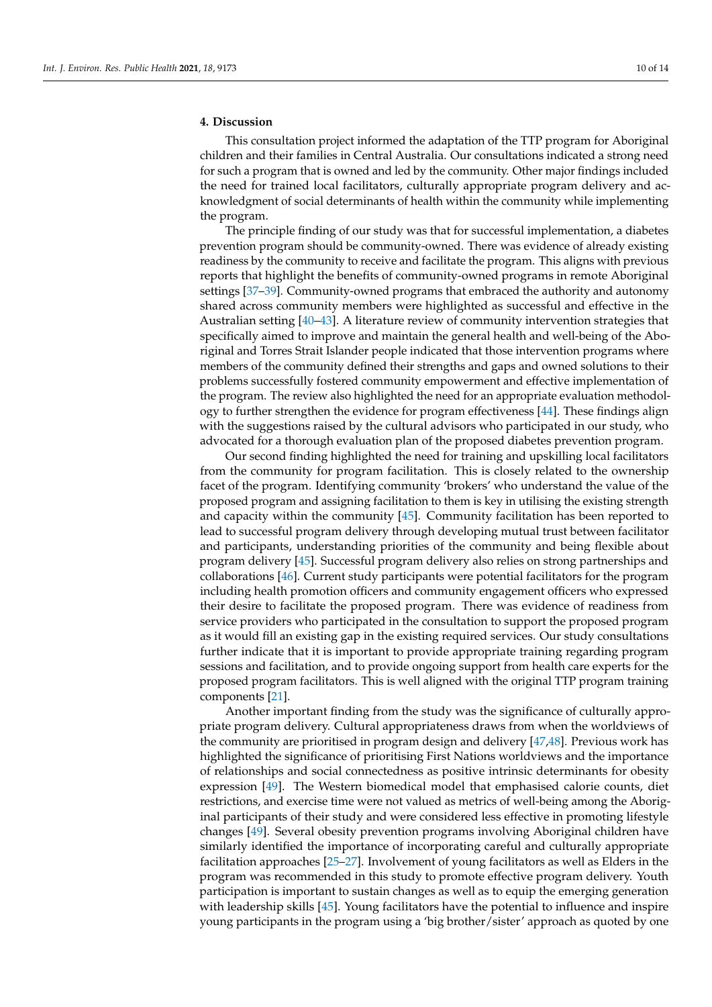# **4. Discussion**

This consultation project informed the adaptation of the TTP program for Aboriginal children and their families in Central Australia. Our consultations indicated a strong need for such a program that is owned and led by the community. Other major findings included the need for trained local facilitators, culturally appropriate program delivery and acknowledgment of social determinants of health within the community while implementing the program.

The principle finding of our study was that for successful implementation, a diabetes prevention program should be community-owned. There was evidence of already existing readiness by the community to receive and facilitate the program. This aligns with previous reports that highlight the benefits of community-owned programs in remote Aboriginal settings [\[37](#page-13-16)[–39\]](#page-13-17). Community-owned programs that embraced the authority and autonomy shared across community members were highlighted as successful and effective in the Australian setting [\[40–](#page-13-18)[43\]](#page-13-19). A literature review of community intervention strategies that specifically aimed to improve and maintain the general health and well-being of the Aboriginal and Torres Strait Islander people indicated that those intervention programs where members of the community defined their strengths and gaps and owned solutions to their problems successfully fostered community empowerment and effective implementation of the program. The review also highlighted the need for an appropriate evaluation methodology to further strengthen the evidence for program effectiveness [\[44\]](#page-14-0). These findings align with the suggestions raised by the cultural advisors who participated in our study, who advocated for a thorough evaluation plan of the proposed diabetes prevention program.

Our second finding highlighted the need for training and upskilling local facilitators from the community for program facilitation. This is closely related to the ownership facet of the program. Identifying community 'brokers' who understand the value of the proposed program and assigning facilitation to them is key in utilising the existing strength and capacity within the community [\[45\]](#page-14-1). Community facilitation has been reported to lead to successful program delivery through developing mutual trust between facilitator and participants, understanding priorities of the community and being flexible about program delivery [\[45\]](#page-14-1). Successful program delivery also relies on strong partnerships and collaborations [\[46\]](#page-14-2). Current study participants were potential facilitators for the program including health promotion officers and community engagement officers who expressed their desire to facilitate the proposed program. There was evidence of readiness from service providers who participated in the consultation to support the proposed program as it would fill an existing gap in the existing required services. Our study consultations further indicate that it is important to provide appropriate training regarding program sessions and facilitation, and to provide ongoing support from health care experts for the proposed program facilitators. This is well aligned with the original TTP program training components [\[21\]](#page-13-0).

Another important finding from the study was the significance of culturally appropriate program delivery. Cultural appropriateness draws from when the worldviews of the community are prioritised in program design and delivery [\[47](#page-14-3)[,48\]](#page-14-4). Previous work has highlighted the significance of prioritising First Nations worldviews and the importance of relationships and social connectedness as positive intrinsic determinants for obesity expression [\[49\]](#page-14-5). The Western biomedical model that emphasised calorie counts, diet restrictions, and exercise time were not valued as metrics of well-being among the Aboriginal participants of their study and were considered less effective in promoting lifestyle changes [\[49\]](#page-14-5). Several obesity prevention programs involving Aboriginal children have similarly identified the importance of incorporating careful and culturally appropriate facilitation approaches [\[25–](#page-13-4)[27\]](#page-13-6). Involvement of young facilitators as well as Elders in the program was recommended in this study to promote effective program delivery. Youth participation is important to sustain changes as well as to equip the emerging generation with leadership skills [\[45\]](#page-14-1). Young facilitators have the potential to influence and inspire young participants in the program using a 'big brother/sister' approach as quoted by one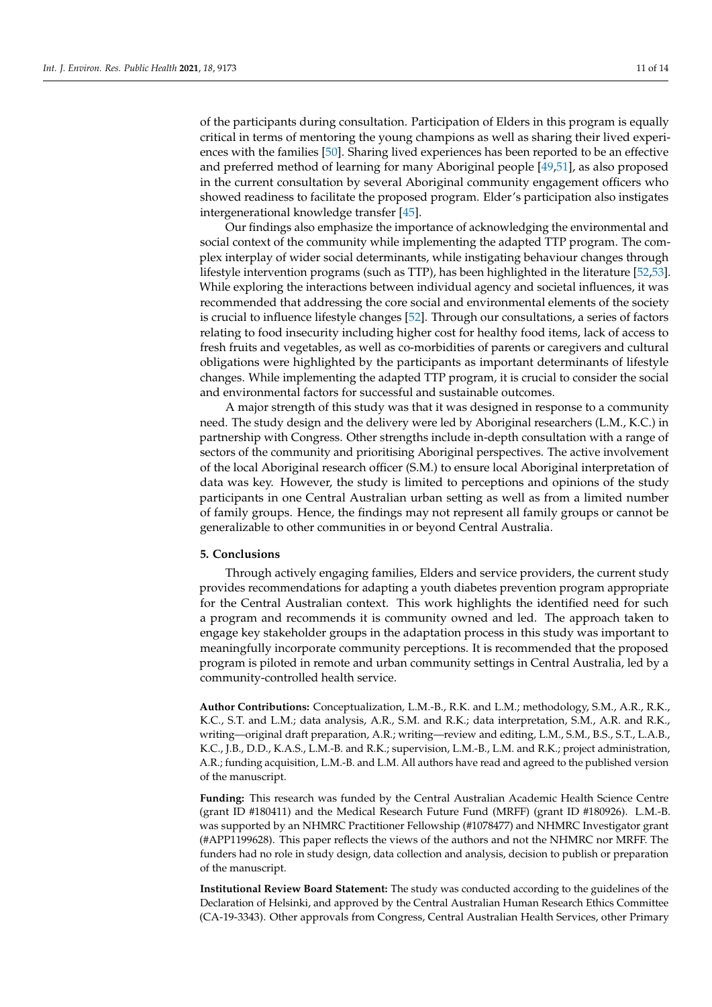of the participants during consultation. Participation of Elders in this program is equally critical in terms of mentoring the young champions as well as sharing their lived experiences with the families [\[50\]](#page-14-6). Sharing lived experiences has been reported to be an effective and preferred method of learning for many Aboriginal people [\[49](#page-14-5)[,51\]](#page-14-7), as also proposed in the current consultation by several Aboriginal community engagement officers who showed readiness to facilitate the proposed program. Elder's participation also instigates intergenerational knowledge transfer [\[45\]](#page-14-1).

Our findings also emphasize the importance of acknowledging the environmental and social context of the community while implementing the adapted TTP program. The complex interplay of wider social determinants, while instigating behaviour changes through lifestyle intervention programs (such as TTP), has been highlighted in the literature [\[52](#page-14-8)[,53\]](#page-14-9). While exploring the interactions between individual agency and societal influences, it was recommended that addressing the core social and environmental elements of the society is crucial to influence lifestyle changes [\[52\]](#page-14-8). Through our consultations, a series of factors relating to food insecurity including higher cost for healthy food items, lack of access to fresh fruits and vegetables, as well as co-morbidities of parents or caregivers and cultural obligations were highlighted by the participants as important determinants of lifestyle changes. While implementing the adapted TTP program, it is crucial to consider the social and environmental factors for successful and sustainable outcomes.

A major strength of this study was that it was designed in response to a community need. The study design and the delivery were led by Aboriginal researchers (L.M., K.C.) in partnership with Congress. Other strengths include in-depth consultation with a range of sectors of the community and prioritising Aboriginal perspectives. The active involvement of the local Aboriginal research officer (S.M.) to ensure local Aboriginal interpretation of data was key. However, the study is limited to perceptions and opinions of the study participants in one Central Australian urban setting as well as from a limited number of family groups. Hence, the findings may not represent all family groups or cannot be generalizable to other communities in or beyond Central Australia.

# **5. Conclusions**

Through actively engaging families, Elders and service providers, the current study provides recommendations for adapting a youth diabetes prevention program appropriate for the Central Australian context. This work highlights the identified need for such a program and recommends it is community owned and led. The approach taken to engage key stakeholder groups in the adaptation process in this study was important to meaningfully incorporate community perceptions. It is recommended that the proposed program is piloted in remote and urban community settings in Central Australia, led by a community-controlled health service.

**Author Contributions:** Conceptualization, L.M.-B., R.K. and L.M.; methodology, S.M., A.R., R.K., K.C., S.T. and L.M.; data analysis, A.R., S.M. and R.K.; data interpretation, S.M., A.R. and R.K., writing—original draft preparation, A.R.; writing—review and editing, L.M., S.M., B.S., S.T., L.A.B., K.C., J.B., D.D., K.A.S., L.M.-B. and R.K.; supervision, L.M.-B., L.M. and R.K.; project administration, A.R.; funding acquisition, L.M.-B. and L.M. All authors have read and agreed to the published version of the manuscript.

**Funding:** This research was funded by the Central Australian Academic Health Science Centre (grant ID #180411) and the Medical Research Future Fund (MRFF) (grant ID #180926). L.M.-B. was supported by an NHMRC Practitioner Fellowship (#1078477) and NHMRC Investigator grant (#APP1199628). This paper reflects the views of the authors and not the NHMRC nor MRFF. The funders had no role in study design, data collection and analysis, decision to publish or preparation of the manuscript.

**Institutional Review Board Statement:** The study was conducted according to the guidelines of the Declaration of Helsinki, and approved by the Central Australian Human Research Ethics Committee (CA-19-3343). Other approvals from Congress, Central Australian Health Services, other Primary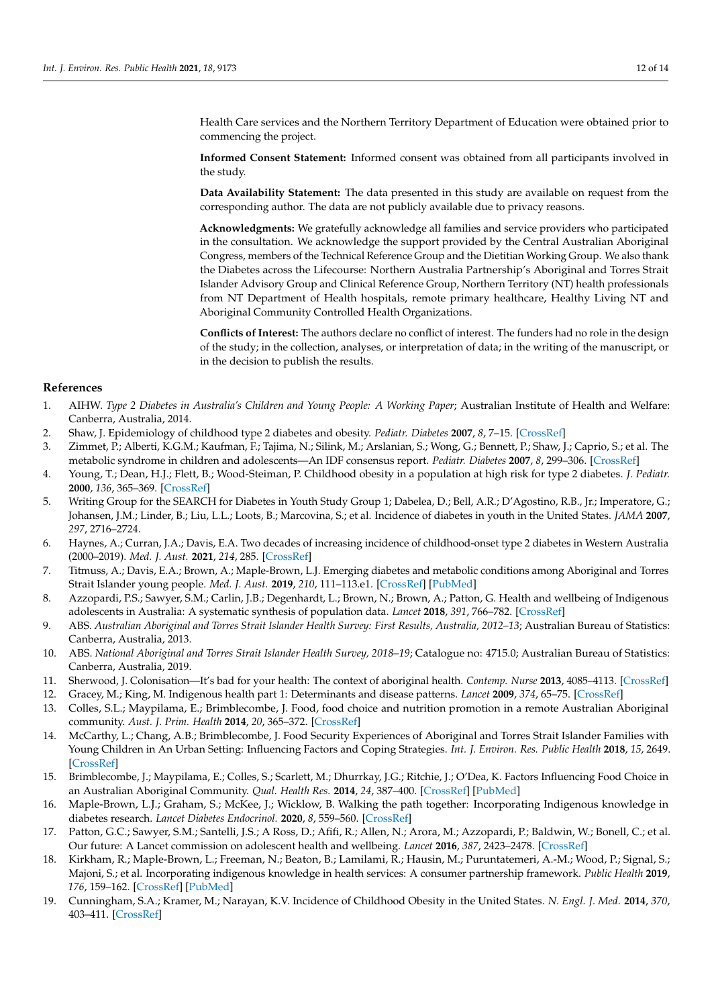Health Care services and the Northern Territory Department of Education were obtained prior to commencing the project.

**Informed Consent Statement:** Informed consent was obtained from all participants involved in the study.

**Data Availability Statement:** The data presented in this study are available on request from the corresponding author. The data are not publicly available due to privacy reasons.

**Acknowledgments:** We gratefully acknowledge all families and service providers who participated in the consultation. We acknowledge the support provided by the Central Australian Aboriginal Congress, members of the Technical Reference Group and the Dietitian Working Group. We also thank the Diabetes across the Lifecourse: Northern Australia Partnership's Aboriginal and Torres Strait Islander Advisory Group and Clinical Reference Group, Northern Territory (NT) health professionals from NT Department of Health hospitals, remote primary healthcare, Healthy Living NT and Aboriginal Community Controlled Health Organizations.

**Conflicts of Interest:** The authors declare no conflict of interest. The funders had no role in the design of the study; in the collection, analyses, or interpretation of data; in the writing of the manuscript, or in the decision to publish the results.

#### **References**

- <span id="page-12-0"></span>1. AIHW. *Type 2 Diabetes in Australia's Children and Young People: A Working Paper*; Australian Institute of Health and Welfare: Canberra, Australia, 2014.
- <span id="page-12-1"></span>2. Shaw, J. Epidemiology of childhood type 2 diabetes and obesity. *Pediatr. Diabetes* **2007**, *8*, 7–15. [\[CrossRef\]](http://doi.org/10.1111/j.1399-5448.2007.00329.x)
- 3. Zimmet, P.; Alberti, K.G.M.; Kaufman, F.; Tajima, N.; Silink, M.; Arslanian, S.; Wong, G.; Bennett, P.; Shaw, J.; Caprio, S.; et al. The metabolic syndrome in children and adolescents—An IDF consensus report. *Pediatr. Diabetes* **2007**, *8*, 299–306. [\[CrossRef\]](http://doi.org/10.1111/j.1399-5448.2007.00271.x)
- 4. Young, T.; Dean, H.J.; Flett, B.; Wood-Steiman, P. Childhood obesity in a population at high risk for type 2 diabetes. *J. Pediatr.* **2000**, *136*, 365–369. [\[CrossRef\]](http://doi.org/10.1067/mpd.2000.103504)
- <span id="page-12-2"></span>5. Writing Group for the SEARCH for Diabetes in Youth Study Group 1; Dabelea, D.; Bell, A.R.; D'Agostino, R.B., Jr.; Imperatore, G.; Johansen, J.M.; Linder, B.; Liu, L.L.; Loots, B.; Marcovina, S.; et al. Incidence of diabetes in youth in the United States. *JAMA* **2007**, *297*, 2716–2724.
- <span id="page-12-3"></span>6. Haynes, A.; Curran, J.A.; Davis, E.A. Two decades of increasing incidence of childhood-onset type 2 diabetes in Western Australia (2000–2019). *Med. J. Aust.* **2021**, *214*, 285. [\[CrossRef\]](http://doi.org/10.5694/mja2.50970)
- <span id="page-12-12"></span>7. Titmuss, A.; Davis, E.A.; Brown, A.; Maple-Brown, L.J. Emerging diabetes and metabolic conditions among Aboriginal and Torres Strait Islander young people. *Med. J. Aust.* **2019**, *210*, 111–113.e1. [\[CrossRef\]](http://doi.org/10.5694/mja2.13002) [\[PubMed\]](http://www.ncbi.nlm.nih.gov/pubmed/30656687)
- <span id="page-12-4"></span>8. Azzopardi, P.S.; Sawyer, S.M.; Carlin, J.B.; Degenhardt, L.; Brown, N.; Brown, A.; Patton, G. Health and wellbeing of Indigenous adolescents in Australia: A systematic synthesis of population data. *Lancet* **2018**, *391*, 766–782. [\[CrossRef\]](http://doi.org/10.1016/S0140-6736(17)32141-4)
- <span id="page-12-5"></span>9. ABS. *Australian Aboriginal and Torres Strait Islander Health Survey: First Results, Australia, 2012–13*; Australian Bureau of Statistics: Canberra, Australia, 2013.
- <span id="page-12-6"></span>10. ABS. *National Aboriginal and Torres Strait Islander Health Survey, 2018–19*; Catalogue no: 4715.0; Australian Bureau of Statistics: Canberra, Australia, 2019.
- <span id="page-12-7"></span>11. Sherwood, J. Colonisation—It's bad for your health: The context of aboriginal health. *Contemp. Nurse* **2013**, 4085–4113. [\[CrossRef\]](http://doi.org/10.5172/conu.2013.4085)
- <span id="page-12-8"></span>12. Gracey, M.; King, M. Indigenous health part 1: Determinants and disease patterns. *Lancet* **2009**, *374*, 65–75. [\[CrossRef\]](http://doi.org/10.1016/S0140-6736(09)60914-4)
- <span id="page-12-9"></span>13. Colles, S.L.; Maypilama, E.; Brimblecombe, J. Food, food choice and nutrition promotion in a remote Australian Aboriginal community. *Aust. J. Prim. Health* **2014**, *20*, 365–372. [\[CrossRef\]](http://doi.org/10.1071/PY14033)
- 14. McCarthy, L.; Chang, A.B.; Brimblecombe, J. Food Security Experiences of Aboriginal and Torres Strait Islander Families with Young Children in An Urban Setting: Influencing Factors and Coping Strategies. *Int. J. Environ. Res. Public Health* **2018**, *15*, 2649. [\[CrossRef\]](http://doi.org/10.3390/ijerph15122649)
- <span id="page-12-10"></span>15. Brimblecombe, J.; Maypilama, E.; Colles, S.; Scarlett, M.; Dhurrkay, J.G.; Ritchie, J.; O'Dea, K. Factors Influencing Food Choice in an Australian Aboriginal Community. *Qual. Health Res.* **2014**, *24*, 387–400. [\[CrossRef\]](http://doi.org/10.1177/1049732314521901) [\[PubMed\]](http://www.ncbi.nlm.nih.gov/pubmed/24549409)
- <span id="page-12-11"></span>16. Maple-Brown, L.J.; Graham, S.; McKee, J.; Wicklow, B. Walking the path together: Incorporating Indigenous knowledge in diabetes research. *Lancet Diabetes Endocrinol.* **2020**, *8*, 559–560. [\[CrossRef\]](http://doi.org/10.1016/S2213-8587(20)30188-1)
- <span id="page-12-13"></span>17. Patton, G.C.; Sawyer, S.M.; Santelli, J.S.; A Ross, D.; Afifi, R.; Allen, N.; Arora, M.; Azzopardi, P.; Baldwin, W.; Bonell, C.; et al. Our future: A Lancet commission on adolescent health and wellbeing. *Lancet* **2016**, *387*, 2423–2478. [\[CrossRef\]](http://doi.org/10.1016/S0140-6736(16)00579-1)
- <span id="page-12-14"></span>18. Kirkham, R.; Maple-Brown, L.; Freeman, N.; Beaton, B.; Lamilami, R.; Hausin, M.; Puruntatemeri, A.-M.; Wood, P.; Signal, S.; Majoni, S.; et al. Incorporating indigenous knowledge in health services: A consumer partnership framework. *Public Health* **2019**, *176*, 159–162. [\[CrossRef\]](http://doi.org/10.1016/j.puhe.2018.08.009) [\[PubMed\]](http://www.ncbi.nlm.nih.gov/pubmed/30528543)
- <span id="page-12-15"></span>19. Cunningham, S.A.; Kramer, M.; Narayan, K.V. Incidence of Childhood Obesity in the United States. *N. Engl. J. Med.* **2014**, *370*, 403–411. [\[CrossRef\]](http://doi.org/10.1056/NEJMoa1309753)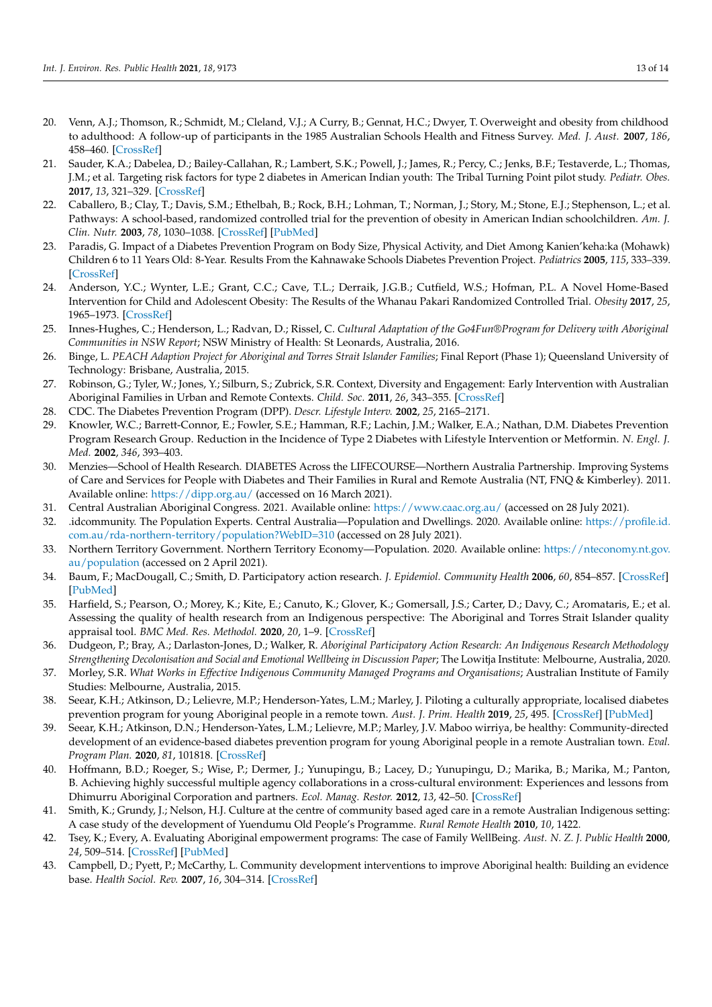- 20. Venn, A.J.; Thomson, R.; Schmidt, M.; Cleland, V.J.; A Curry, B.; Gennat, H.C.; Dwyer, T. Overweight and obesity from childhood to adulthood: A follow-up of participants in the 1985 Australian Schools Health and Fitness Survey. *Med. J. Aust.* **2007**, *186*, 458–460. [\[CrossRef\]](http://doi.org/10.5694/j.1326-5377.2007.tb00997.x)
- <span id="page-13-0"></span>21. Sauder, K.A.; Dabelea, D.; Bailey-Callahan, R.; Lambert, S.K.; Powell, J.; James, R.; Percy, C.; Jenks, B.F.; Testaverde, L.; Thomas, J.M.; et al. Targeting risk factors for type 2 diabetes in American Indian youth: The Tribal Turning Point pilot study. *Pediatr. Obes.* **2017**, *13*, 321–329. [\[CrossRef\]](http://doi.org/10.1111/ijpo.12223)
- <span id="page-13-1"></span>22. Caballero, B.; Clay, T.; Davis, S.M.; Ethelbah, B.; Rock, B.H.; Lohman, T.; Norman, J.; Story, M.; Stone, E.J.; Stephenson, L.; et al. Pathways: A school-based, randomized controlled trial for the prevention of obesity in American Indian schoolchildren. *Am. J. Clin. Nutr.* **2003**, *78*, 1030–1038. [\[CrossRef\]](http://doi.org/10.1093/ajcn/78.5.1030) [\[PubMed\]](http://www.ncbi.nlm.nih.gov/pubmed/14594792)
- <span id="page-13-3"></span>23. Paradis, G. Impact of a Diabetes Prevention Program on Body Size, Physical Activity, and Diet Among Kanien'keha:ka (Mohawk) Children 6 to 11 Years Old: 8-Year. Results From the Kahnawake Schools Diabetes Prevention Project. *Pediatrics* **2005**, *115*, 333–339. [\[CrossRef\]](http://doi.org/10.1542/peds.2004-0745)
- <span id="page-13-2"></span>24. Anderson, Y.C.; Wynter, L.E.; Grant, C.C.; Cave, T.L.; Derraik, J.G.B.; Cutfield, W.S.; Hofman, P.L. A Novel Home-Based Intervention for Child and Adolescent Obesity: The Results of the Whanau Pakari Randomized Controlled Trial. *Obesity* **2017**, *25*, 1965–1973. [\[CrossRef\]](http://doi.org/10.1002/oby.21967)
- <span id="page-13-4"></span>25. Innes-Hughes, C.; Henderson, L.; Radvan, D.; Rissel, C. *Cultural Adaptation of the Go4Fun®Program for Delivery with Aboriginal Communities in NSW Report*; NSW Ministry of Health: St Leonards, Australia, 2016.
- <span id="page-13-5"></span>26. Binge, L. *PEACH Adaption Project for Aboriginal and Torres Strait Islander Families*; Final Report (Phase 1); Queensland University of Technology: Brisbane, Australia, 2015.
- <span id="page-13-6"></span>27. Robinson, G.; Tyler, W.; Jones, Y.; Silburn, S.; Zubrick, S.R. Context, Diversity and Engagement: Early Intervention with Australian Aboriginal Families in Urban and Remote Contexts. *Child. Soc.* **2011**, *26*, 343–355. [\[CrossRef\]](http://doi.org/10.1111/j.1099-0860.2010.00353.x)
- <span id="page-13-7"></span>28. CDC. The Diabetes Prevention Program (DPP). *Descr. Lifestyle Interv.* **2002**, *25*, 2165–2171.
- <span id="page-13-8"></span>29. Knowler, W.C.; Barrett-Connor, E.; Fowler, S.E.; Hamman, R.F.; Lachin, J.M.; Walker, E.A.; Nathan, D.M. Diabetes Prevention Program Research Group. Reduction in the Incidence of Type 2 Diabetes with Lifestyle Intervention or Metformin. *N. Engl. J. Med.* **2002**, *346*, 393–403.
- <span id="page-13-9"></span>30. Menzies—School of Health Research. DIABETES Across the LIFECOURSE—Northern Australia Partnership. Improving Systems of Care and Services for People with Diabetes and Their Families in Rural and Remote Australia (NT, FNQ & Kimberley). 2011. Available online: <https://dipp.org.au/> (accessed on 16 March 2021).
- <span id="page-13-10"></span>31. Central Australian Aboriginal Congress. 2021. Available online: <https://www.caac.org.au/> (accessed on 28 July 2021).
- <span id="page-13-11"></span>32. .idcommunity. The Population Experts. Central Australia—Population and Dwellings. 2020. Available online: [https://profile.id.](https://profile.id.com.au/rda-northern-territory/population?WebID=310) [com.au/rda-northern-territory/population?WebID=310](https://profile.id.com.au/rda-northern-territory/population?WebID=310) (accessed on 28 July 2021).
- <span id="page-13-12"></span>33. Northern Territory Government. Northern Territory Economy—Population. 2020. Available online: [https://nteconomy.nt.gov.](https://nteconomy.nt.gov.au/population) [au/population](https://nteconomy.nt.gov.au/population) (accessed on 2 April 2021).
- <span id="page-13-13"></span>34. Baum, F.; MacDougall, C.; Smith, D. Participatory action research. *J. Epidemiol. Community Health* **2006**, *60*, 854–857. [\[CrossRef\]](http://doi.org/10.1136/jech.2004.028662) [\[PubMed\]](http://www.ncbi.nlm.nih.gov/pubmed/16973531)
- <span id="page-13-14"></span>35. Harfield, S.; Pearson, O.; Morey, K.; Kite, E.; Canuto, K.; Glover, K.; Gomersall, J.S.; Carter, D.; Davy, C.; Aromataris, E.; et al. Assessing the quality of health research from an Indigenous perspective: The Aboriginal and Torres Strait Islander quality appraisal tool. *BMC Med. Res. Methodol.* **2020**, *20*, 1–9. [\[CrossRef\]](http://doi.org/10.1186/s12874-020-00959-3)
- <span id="page-13-15"></span>36. Dudgeon, P.; Bray, A.; Darlaston-Jones, D.; Walker, R. *Aboriginal Participatory Action Research: An Indigenous Research Methodology Strengthening Decolonisation and Social and Emotional Wellbeing in Discussion Paper*; The Lowitja Institute: Melbourne, Australia, 2020.
- <span id="page-13-16"></span>37. Morley, S.R. *What Works in Effective Indigenous Community Managed Programs and Organisations*; Australian Institute of Family Studies: Melbourne, Australia, 2015.
- 38. Seear, K.H.; Atkinson, D.; Lelievre, M.P.; Henderson-Yates, L.M.; Marley, J. Piloting a culturally appropriate, localised diabetes prevention program for young Aboriginal people in a remote town. *Aust. J. Prim. Health* **2019**, *25*, 495. [\[CrossRef\]](http://doi.org/10.1071/PY19024) [\[PubMed\]](http://www.ncbi.nlm.nih.gov/pubmed/31581978)
- <span id="page-13-17"></span>39. Seear, K.H.; Atkinson, D.N.; Henderson-Yates, L.M.; Lelievre, M.P.; Marley, J.V. Maboo wirriya, be healthy: Community-directed development of an evidence-based diabetes prevention program for young Aboriginal people in a remote Australian town. *Eval. Program Plan.* **2020**, *81*, 101818. [\[CrossRef\]](http://doi.org/10.1016/j.evalprogplan.2020.101818)
- <span id="page-13-18"></span>40. Hoffmann, B.D.; Roeger, S.; Wise, P.; Dermer, J.; Yunupingu, B.; Lacey, D.; Yunupingu, D.; Marika, B.; Marika, M.; Panton, B. Achieving highly successful multiple agency collaborations in a cross-cultural environment: Experiences and lessons from Dhimurru Aboriginal Corporation and partners. *Ecol. Manag. Restor.* **2012**, *13*, 42–50. [\[CrossRef\]](http://doi.org/10.1111/j.1442-8903.2011.00630.x)
- 41. Smith, K.; Grundy, J.; Nelson, H.J. Culture at the centre of community based aged care in a remote Australian Indigenous setting: A case study of the development of Yuendumu Old People's Programme. *Rural Remote Health* **2010**, *10*, 1422.
- 42. Tsey, K.; Every, A. Evaluating Aboriginal empowerment programs: The case of Family WellBeing. *Aust. N. Z. J. Public Health* **2000**, *24*, 509–514. [\[CrossRef\]](http://doi.org/10.1111/j.1467-842X.2000.tb00501.x) [\[PubMed\]](http://www.ncbi.nlm.nih.gov/pubmed/11109688)
- <span id="page-13-19"></span>43. Campbell, D.; Pyett, P.; McCarthy, L. Community development interventions to improve Aboriginal health: Building an evidence base. *Health Sociol. Rev.* **2007**, *16*, 304–314. [\[CrossRef\]](http://doi.org/10.5172/hesr.2007.16.3-4.304)